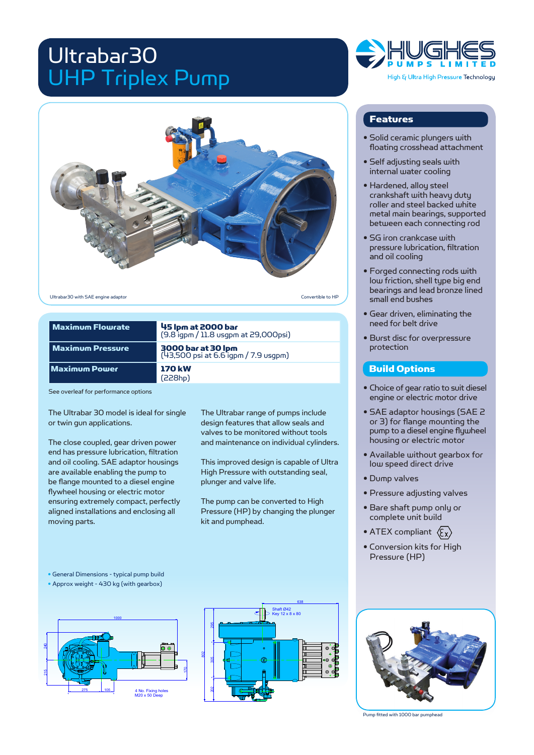### Ultrabar30 UHP Triplex Pump



| Maximum Flowrate | <b>45 lpm at 2000 bar</b><br>(9.8 igpm / 11.8 usgpm at 29,000psi) |
|------------------|-------------------------------------------------------------------|
| Maximum Pressure | <b>3000 bar at 30 lpm</b><br>(43,500 psi at 6.6 igpm / 7.9 usgpm) |
| Maximum Power    | <b>170 kW</b><br>(228hp)                                          |

See overleaf for performance options

The Ultrabar 30 model is ideal for single or twin gun applications.

The close coupled, gear driven power end has pressure lubrication, filtration and oil cooling. SAE adaptor housings are available enabling the pump to be flange mounted to a diesel engine flywheel housing or electric motor ensuring extremely compact, perfectly aligned installations and enclosing all moving parts.

The Ultrabar range of pumps include design features that allow seals and valves to be monitored without tools and maintenance on individual cylinders.

This improved design is capable of Ultra High Pressure with outstanding seal, plunger and valve life.

The pump can be converted to High Pressure (HP) by changing the plunger kit and pumphead.



### Features

- Solid ceramic plungers with floating crosshead attachment
- Self adjusting seals with internal water cooling
- Hardened, alloy steel<br>crankshaft with heavy duty roller and steel backed white metal main bearings, supported between each connecting rod
- SG iron crankcase with pressure lubrication, filtration and oil cooling
- Forged connecting rods with low friction, shell type big end bearings and lead bronze lined small end bushes
- Gear driven, eliminating the need for belt drive
- Burst disc for overpressure protection

### Build Options

- Choice of gear ratio to suit diesel engine or electric motor drive
- SAE adaptor housings (SAE 2 or 3) for flange mounting the pump to a diesel engine flywheel housing or electric motor
- Available without gearbox for low speed direct drive
- Dump valves
- Pressure adjusting valves
- Bare shaft pump only or complete unit build
- ATEX compliant  $\langle \xi_X \rangle$
- Conversion kits for High Pressure (HP)

- General Dimensions typical pump build
- Approx weight 430 kg (with gearbox)







Pump fitted with 1000 bar pumphead